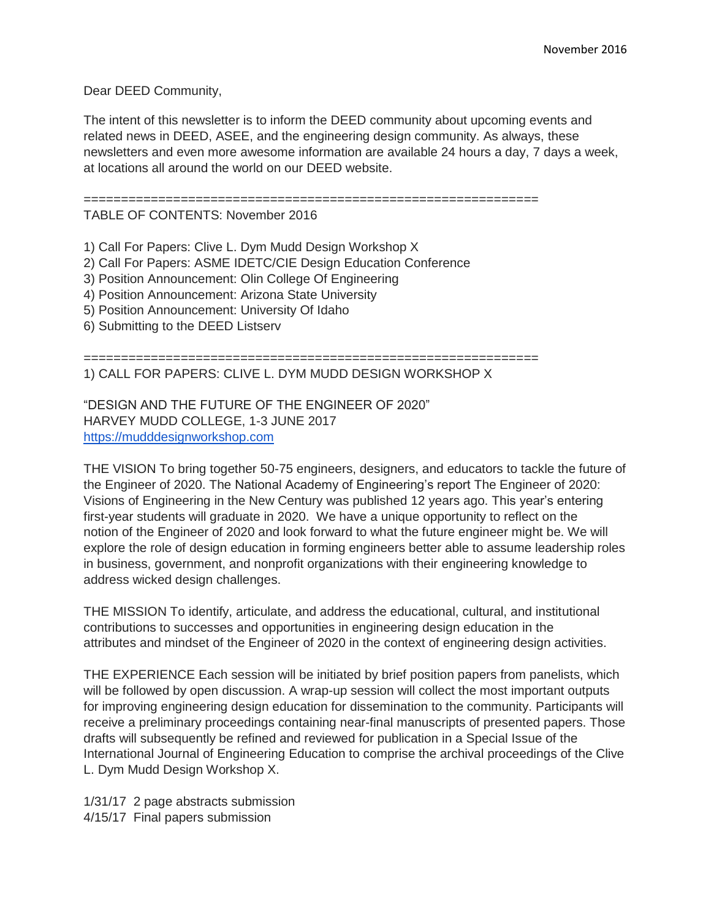Dear DEED Community,

The intent of this newsletter is to inform the DEED community about upcoming events and related news in DEED, ASEE, and the engineering design community. As always, these newsletters and even more awesome information are available 24 hours a day, 7 days a week, at locations all around the world on our DEED website.

## =============================================================

## TABLE OF CONTENTS: November 2016

- 1) Call For Papers: Clive L. Dym Mudd Design Workshop X
- 2) Call For Papers: ASME IDETC/CIE Design Education Conference
- 3) Position Announcement: Olin College Of Engineering
- 4) Position Announcement: Arizona State University
- 5) Position Announcement: University Of Idaho
- 6) Submitting to the DEED Listserv

=============================================================

1) CALL FOR PAPERS: CLIVE L. DYM MUDD DESIGN WORKSHOP X

"DESIGN AND THE FUTURE OF THE ENGINEER OF 2020" HARVEY MUDD COLLEGE, 1-3 JUNE 2017 [https://mudddesignworkshop.com](https://mudddesignworkshop.com/)

THE VISION To bring together 50-75 engineers, designers, and educators to tackle the future of the Engineer of 2020. The National Academy of Engineering's report The Engineer of 2020: Visions of Engineering in the New Century was published 12 years ago. This year's entering first-year students will graduate in 2020. We have a unique opportunity to reflect on the notion of the Engineer of 2020 and look forward to what the future engineer might be. We will explore the role of design education in forming engineers better able to assume leadership roles in business, government, and nonprofit organizations with their engineering knowledge to address wicked design challenges.

THE MISSION To identify, articulate, and address the educational, cultural, and institutional contributions to successes and opportunities in engineering design education in the attributes and mindset of the Engineer of 2020 in the context of engineering design activities.

THE EXPERIENCE Each session will be initiated by brief position papers from panelists, which will be followed by open discussion. A wrap-up session will collect the most important outputs for improving engineering design education for dissemination to the community. Participants will receive a preliminary proceedings containing near-final manuscripts of presented papers. Those drafts will subsequently be refined and reviewed for publication in a Special Issue of the International Journal of Engineering Education to comprise the archival proceedings of the Clive L. Dym Mudd Design Workshop X.

1/31/17 2 page abstracts submission 4/15/17 Final papers submission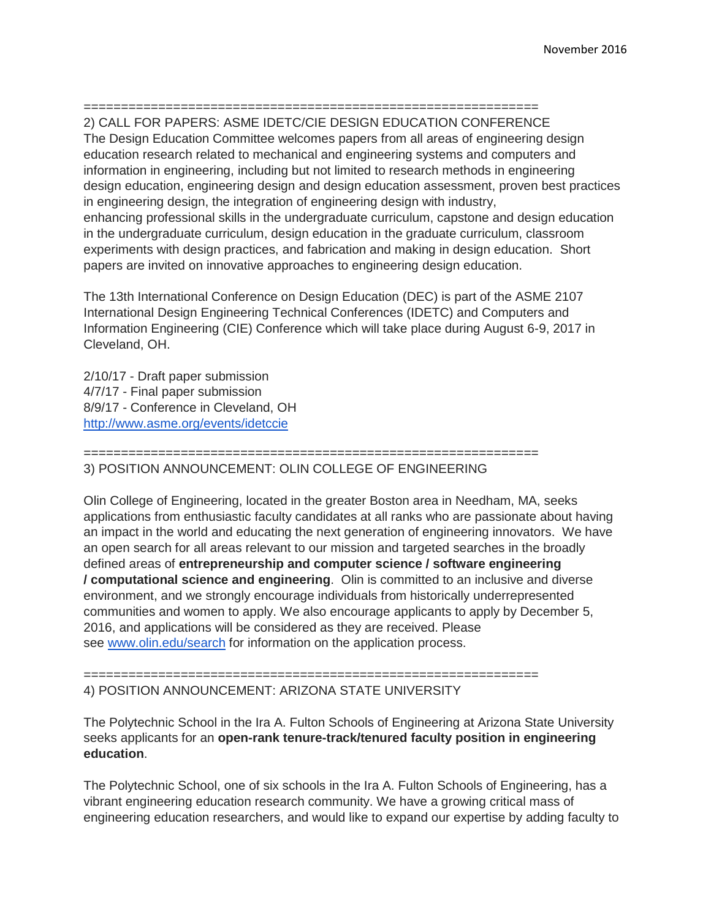#### ============================================================= 2) CALL FOR PAPERS: ASME IDETC/CIE DESIGN EDUCATION CONFERENCE

The Design Education Committee welcomes papers from all areas of engineering design education research related to mechanical and engineering systems and computers and information in engineering, including but not limited to research methods in engineering design education, engineering design and design education assessment, proven best practices in engineering design, the integration of engineering design with industry, enhancing professional skills in the undergraduate curriculum, capstone and design education in the undergraduate curriculum, design education in the graduate curriculum, classroom experiments with design practices, and fabrication and making in design education. Short papers are invited on innovative approaches to engineering design education.

The 13th International Conference on Design Education (DEC) is part of the ASME 2107 International Design Engineering Technical Conferences (IDETC) and Computers and Information Engineering (CIE) Conference which will take place during August 6-9, 2017 in Cleveland, OH.

2/10/17 - Draft paper submission 4/7/17 - Final paper submission 8/9/17 - Conference in Cleveland, OH <http://www.asme.org/events/idetccie>

#### =============================================================

#### 3) POSITION ANNOUNCEMENT: OLIN COLLEGE OF ENGINEERING

Olin College of Engineering, located in the greater Boston area in Needham, MA, seeks applications from enthusiastic faculty candidates at all ranks who are passionate about having an impact in the world and educating the next generation of engineering innovators. We have an open search for all areas relevant to our mission and targeted searches in the broadly defined areas of **entrepreneurship and computer science / software engineering / computational science and engineering**. Olin is committed to an inclusive and diverse environment, and we strongly encourage individuals from historically underrepresented communities and women to apply. We also encourage applicants to apply by December 5, 2016, and applications will be considered as they are received. Please see [www.olin.edu/search](http://www.olin.edu/search) for information on the application process.

# 4) POSITION ANNOUNCEMENT: ARIZONA STATE UNIVERSITY

=============================================================

The Polytechnic School in the Ira A. Fulton Schools of Engineering at Arizona State University seeks applicants for an **open-rank tenure-track/tenured faculty position in engineering education**.

The Polytechnic School, one of six schools in the Ira A. Fulton Schools of Engineering, has a vibrant engineering education research community. We have a growing critical mass of engineering education researchers, and would like to expand our expertise by adding faculty to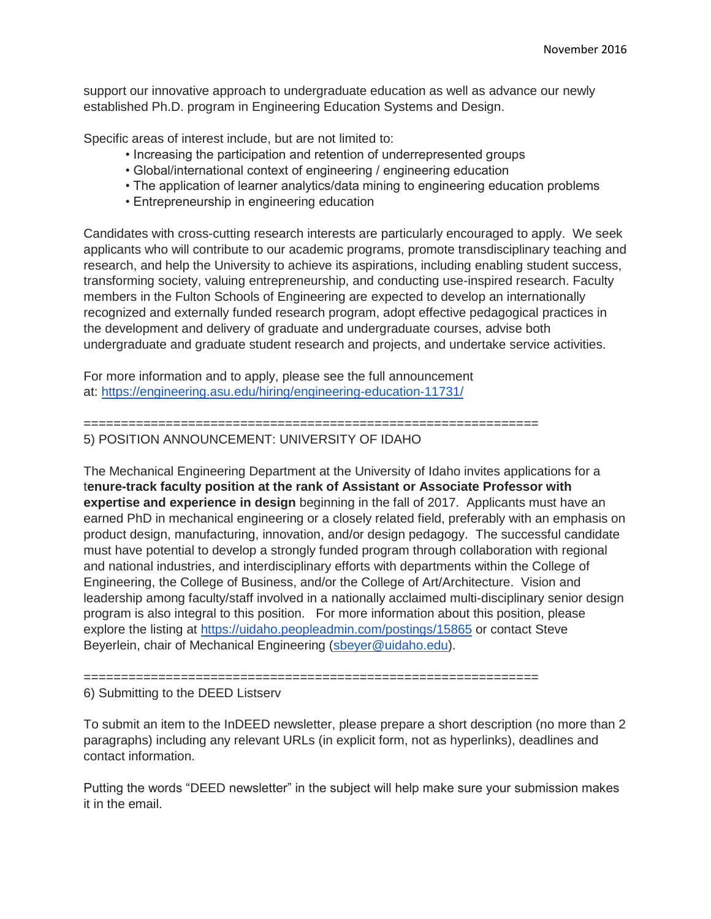support our innovative approach to undergraduate education as well as advance our newly established Ph.D. program in Engineering Education Systems and Design.

Specific areas of interest include, but are not limited to:

- Increasing the participation and retention of underrepresented groups
- Global/international context of engineering / engineering education
- The application of learner analytics/data mining to engineering education problems
- Entrepreneurship in engineering education

Candidates with cross-cutting research interests are particularly encouraged to apply. We seek applicants who will contribute to our academic programs, promote transdisciplinary teaching and research, and help the University to achieve its aspirations, including enabling student success, transforming society, valuing entrepreneurship, and conducting use-inspired research. Faculty members in the Fulton Schools of Engineering are expected to develop an internationally recognized and externally funded research program, adopt effective pedagogical practices in the development and delivery of graduate and undergraduate courses, advise both undergraduate and graduate student research and projects, and undertake service activities.

For more information and to apply, please see the full announcement at: <https://engineering.asu.edu/hiring/engineering-education-11731/>

#### =============================================================

## 5) POSITION ANNOUNCEMENT: UNIVERSITY OF IDAHO

The Mechanical Engineering Department at the University of Idaho invites applications for a t**enure-track faculty position at the rank of Assistant or Associate Professor with expertise and experience in design** beginning in the fall of 2017. Applicants must have an earned PhD in mechanical engineering or a closely related field, preferably with an emphasis on product design, manufacturing, innovation, and/or design pedagogy. The successful candidate must have potential to develop a strongly funded program through collaboration with regional and national industries, and interdisciplinary efforts with departments within the College of Engineering, the College of Business, and/or the College of Art/Architecture. Vision and leadership among faculty/staff involved in a nationally acclaimed multi-disciplinary senior design program is also integral to this position. For more information about this position, please explore the listing at <https://uidaho.peopleadmin.com/postings/15865> or contact Steve Beyerlein, chair of Mechanical Engineering [\(sbeyer@uidaho.edu\)](mailto:sbeyer@uidaho.edu).

=============================================================

#### 6) Submitting to the DEED Listserv

To submit an item to the InDEED newsletter, please prepare a short description (no more than 2 paragraphs) including any relevant URLs (in explicit form, not as hyperlinks), deadlines and contact information.

Putting the words "DEED newsletter" in the subject will help make sure your submission makes it in the email.